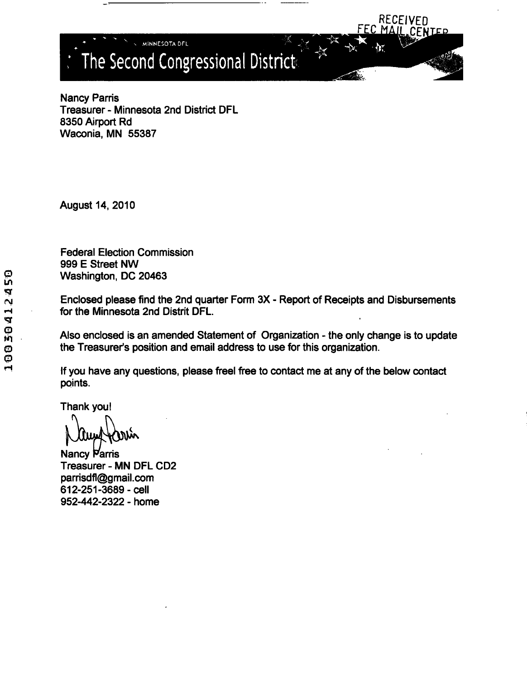t The Second Congressional District

Nancy Parris Treasurer - Minnesota 2nd District DFL 8350 Airport Rd Waconia, MN 55387

**MINNESOTA DFL** 

August 14, 2010

Federal Election Commission 999 E Street NW Washington, DC 20463

Enclosed please find the 2nd quarter Form 3X - Report of Receipts and Disbursements for the Minnesota 2nd Distrit DFL.

RECEIVED<br>MAIL CENTER

Also enclosed is an amended Statement of Organization - the only change is to update the Treasurer's position and email address to use for this organization.

If you have any questions, please free! free to contact me at any of the below contact points.

Thank you!

Nancy Parris Treasurer - MN DFL CD2 parrisdfl@gmail.com 612-251-3689-cell 952-442-2322 - home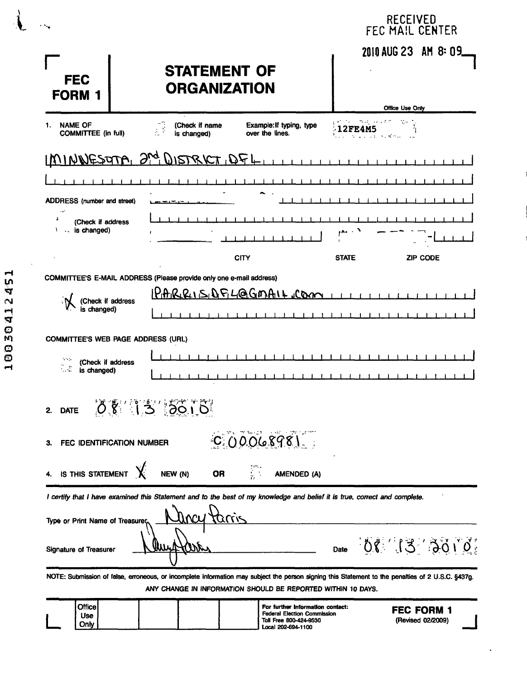| .                                                                                                                                            |                                                                                                                                                                                                                   | RECEIVED<br>FEC MAIL CENTER                                |
|----------------------------------------------------------------------------------------------------------------------------------------------|-------------------------------------------------------------------------------------------------------------------------------------------------------------------------------------------------------------------|------------------------------------------------------------|
| <b>FEC</b><br><b>FORM 1</b>                                                                                                                  | <b>STATEMENT OF</b><br><b>ORGANIZATION</b>                                                                                                                                                                        | 2010 AUG 23 AM 8: 09                                       |
| <b>NAME OF</b><br>1.<br><b>COMMITTEE (in full)</b>                                                                                           | (Check if name<br>Example: If typing, type<br>over the lines.<br>is changed)                                                                                                                                      | Office Use Only<br>花分の<br><b>12FE4M5</b><br><b>Service</b> |
|                                                                                                                                              | <u>IMINNESOTA, 2<sup>nd</sup> DISTRICT, DFL</u>                                                                                                                                                                   |                                                            |
|                                                                                                                                              |                                                                                                                                                                                                                   |                                                            |
| <b>ADDRESS</b> (number and street)                                                                                                           |                                                                                                                                                                                                                   |                                                            |
| (Check if address<br>- is changed)<br>V                                                                                                      |                                                                                                                                                                                                                   |                                                            |
|                                                                                                                                              | <b>CITY</b>                                                                                                                                                                                                       | <b>STATE</b><br><b>ZIP CODE</b>                            |
| (Check if address<br>is changed)<br><b>COMMITTEE'S WEB PAGE ADDRESS (URL)</b><br>1.111<br>(Check if address<br>$\mathbb{Z}^2$<br>is changed) |                                                                                                                                                                                                                   |                                                            |
| 2.                                                                                                                                           | DATE 08 13 5010                                                                                                                                                                                                   |                                                            |
| FEC IDENTIFICATION NUMBER<br>З.                                                                                                              | COOO0898                                                                                                                                                                                                          |                                                            |
| IS THIS STATEMENT                                                                                                                            | <b>OR</b><br>NEW (N)<br>AMENDED (A)                                                                                                                                                                               |                                                            |
| Type or Print Name of Treasurer                                                                                                              | I certify that I have examined this Statement and to the best of my knowledge and belief it is true, correct and complete.<br><u>taris</u>                                                                        |                                                            |
| Signature of Treasurer                                                                                                                       |                                                                                                                                                                                                                   | Date 08 13 3010                                            |
|                                                                                                                                              | NOTE: Submission of false, erroneous, or incomplete information may subject the person signing this Statement to the penalties of 2 U.S.C. §437g.<br>ANY CHANGE IN INFORMATION SHOULD BE REPORTED WITHIN 10 DAYS. |                                                            |
| Office                                                                                                                                       | For further information contact:                                                                                                                                                                                  | EEC EODM 1                                                 |

|  | Officel            |  |  | For further information contact:<br><b>Federal Election Commission</b> | <b>FEC FORM 1</b> |  |
|--|--------------------|--|--|------------------------------------------------------------------------|-------------------|--|
|  | Use<br><b>Only</b> |  |  | Toll Free 800-424-9530<br>Local 202-694-1100                           | (Revised 02/2009) |  |

 $\ddot{\phantom{a}}$ 

 $\lambda$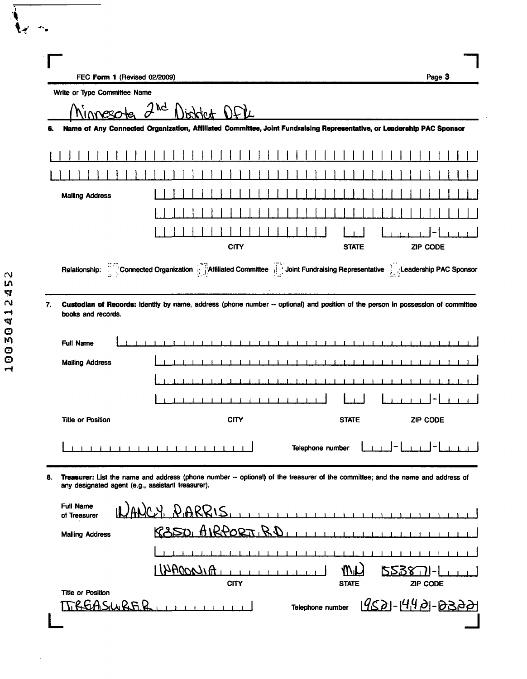| Page 3<br>FEC Form 1 (Revised 02/2009)<br>Write or Type Committee Name<br>ΙĞ<br>Name of Any Connected Organization, Affiliated Committee, Joint Fundraising Representative, or Leadership PAC Sponsor |
|-------------------------------------------------------------------------------------------------------------------------------------------------------------------------------------------------------|
|                                                                                                                                                                                                       |
|                                                                                                                                                                                                       |
|                                                                                                                                                                                                       |
|                                                                                                                                                                                                       |
|                                                                                                                                                                                                       |
|                                                                                                                                                                                                       |
|                                                                                                                                                                                                       |
|                                                                                                                                                                                                       |
|                                                                                                                                                                                                       |
|                                                                                                                                                                                                       |
| <b>CITY</b><br><b>ZIP CODE</b><br><b>STATE</b>                                                                                                                                                        |
| Connected Organization <b>Affiliated Committee</b> Joint Fundraising Representative Leadership PAC Sponsor                                                                                            |
|                                                                                                                                                                                                       |
|                                                                                                                                                                                                       |
|                                                                                                                                                                                                       |
|                                                                                                                                                                                                       |
| <b>CITY</b><br><b>STATE</b><br><b>ZIP CODE</b>                                                                                                                                                        |
| Telephone number                                                                                                                                                                                      |
| Treasurer: List the name and address (phone number -- optional) of the treasurer of the committee; and the name and address of<br>any designated agent (e.g., assistant treasurer).                   |
| ICY PARRIS,<br>$\mathbf{r}$ and $\mathbf{r}$ and $\mathbf{r}$                                                                                                                                         |
| R350 AIRPORTIRD                                                                                                                                                                                       |
|                                                                                                                                                                                                       |
| HILOCOLIA<br><b>MV</b><br><b>2238 U</b><br><b>CITY</b><br><b>STATE</b><br>ZIP CODE                                                                                                                    |
|                                                                                                                                                                                                       |
| Custodian of Records: Identify by name, address (phone number -- optional) and position of the person in possession of committee<br>books and records.                                                |

 $\mathbb{R}^2$ 

 $\langle$